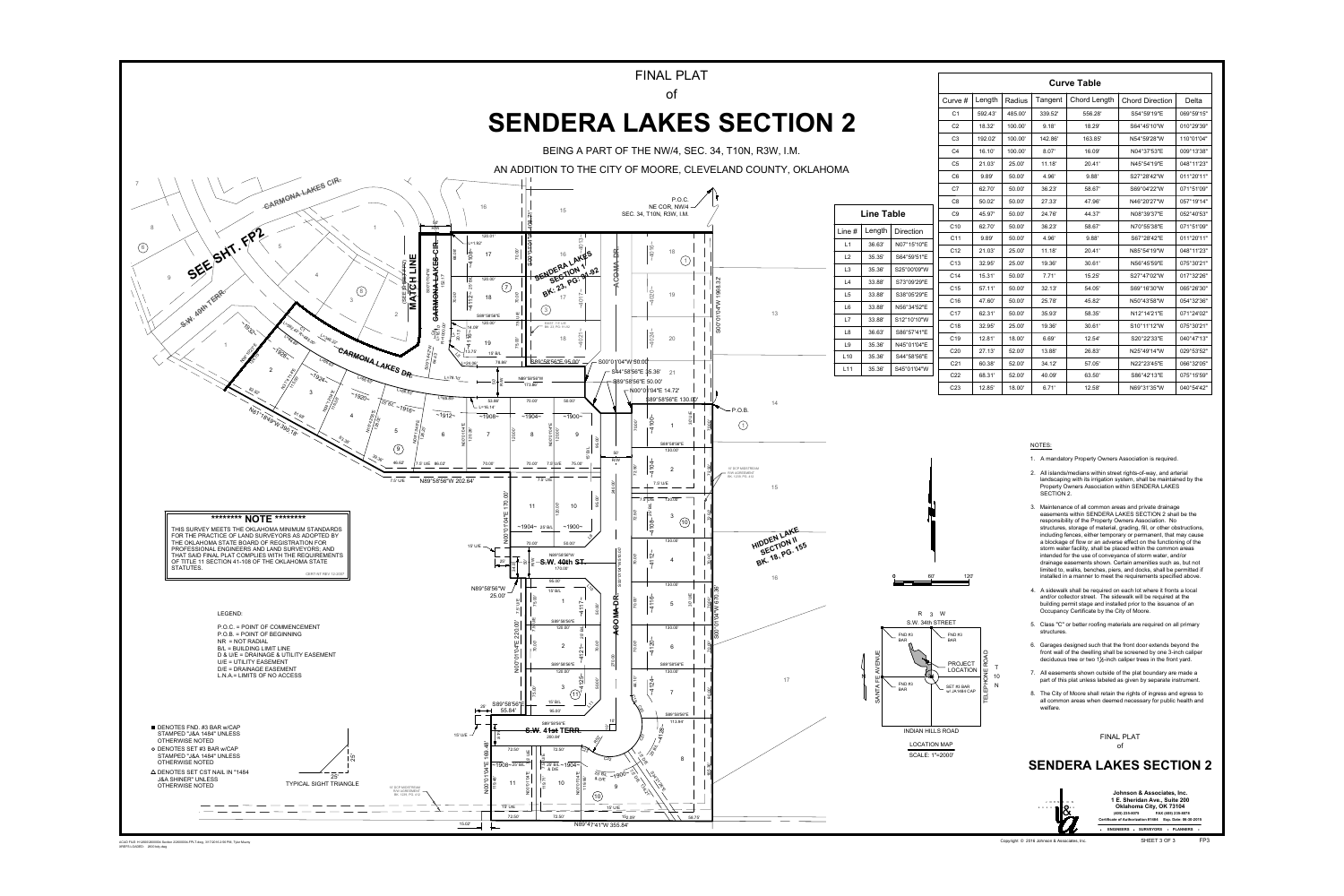

ACAD FILE: H:\2600\2600004 Section 2\2600004-FPLT.dwg, 3/17/2016 2:56 PM, Tyler Muzny<br>XREFS LOADED: 2600 bdy.dwg

| <b>Curve Table</b> |         |         |         |                     |                        |            |  |  |  |
|--------------------|---------|---------|---------|---------------------|------------------------|------------|--|--|--|
| Curve $#$          | Length  | Radius  | Tangent | <b>Chord Length</b> | <b>Chord Direction</b> | Delta      |  |  |  |
| C <sub>1</sub>     | 592.43' | 485.00' | 339.52' | 556.28'             | S54°59'19"E            | 069°59'15" |  |  |  |
| C <sub>2</sub>     | 18.32'  | 100.00' | 9.18'   | 18.29'              | S64°45'10"W            | 010°29'39" |  |  |  |
| C <sub>3</sub>     | 192.02' | 100.00' | 142.86' | 163.85'             | N54°59'28"W            | 110°01'04" |  |  |  |
| C <sub>4</sub>     | 16.10'  | 100.00' | 8.07'   | 16.09'              | N04°37'53"E            | 009°13'38" |  |  |  |
| C <sub>5</sub>     | 21.03'  | 25.00   | 11.18'  | 20.41'              | N45°54'19"E            | 048°11'23" |  |  |  |
| C <sub>6</sub>     | 9.89'   | 50.00   | 4.96'   | 9.88'               | S27°28'42"W            | 011°20'11" |  |  |  |
| C <sub>7</sub>     | 62.70'  | 50.00'  | 36.23'  | 58.67'              | S69°04'22"W            | 071°51'09" |  |  |  |
| C <sub>8</sub>     | 50.02'  | 50.00'  | 27.33'  | 47.96'              | N46°20'27"W            | 057°19'14" |  |  |  |
| C <sub>9</sub>     | 45.97'  | 50.00'  | 24.76'  | 44.37'              | N08°39'37"E            | 052°40'53" |  |  |  |
| C <sub>10</sub>    | 62.70'  | 50.00'  | 36.23'  | 58.67'              | N70°55'38"E            | 071°51'09" |  |  |  |
| C <sub>11</sub>    | 9.89'   | 50.00'  | 4.96'   | 9.88'               | S67°28'42"E            | 011°20'11" |  |  |  |
| C <sub>12</sub>    | 21.03'  | 25.00   | 11.18'  | 20.41'              | N85°54'19"W            | 048°11'23" |  |  |  |
| C <sub>13</sub>    | 32.95'  | 25.00   | 19.36'  | 30.61'              | N56°45'59"E            | 075°30'21" |  |  |  |
| C <sub>14</sub>    | 15.31'  | 50.00'  | 7.71'   | 15.25'              | S27°47'02"W            | 017°32'26" |  |  |  |
| C <sub>15</sub>    | 57.11'  | 50.00'  | 32.13'  | 54.05'              | S69°16'30"W            | 065°26'30" |  |  |  |
| C <sub>16</sub>    | 47.60'  | 50.00'  | 25.78'  | 45.82'              | N50°43'58"W            | 054°32'36" |  |  |  |
| C <sub>17</sub>    | 62.31'  | 50.00'  | 35.93'  | 58.35'              | N12°14'21"E            | 071°24'02" |  |  |  |
| C <sub>18</sub>    | 32.95'  | 25.00'  | 19.36'  | 30.61'              | S10°11'12"W            | 075°30'21" |  |  |  |
| C <sub>19</sub>    | 12.81'  | 18.00'  | 6.69'   | 12.54'              | S20°22'33"E            | 040°47'13" |  |  |  |
| C <sub>20</sub>    | 27.13'  | 52.00'  | 13.88'  | 26.83'              | N25°49'14"W            | 029°53'52" |  |  |  |
| C <sub>21</sub>    | 60.38'  | 52.00'  | 34.12'  | 57.05'              | N22°23'45"E            | 066°32'05" |  |  |  |
| C <sub>22</sub>    | 68.31'  | 52.00'  | 40.09'  | 63.50'              | S86°42'13"E            | 075°15'59" |  |  |  |
| C <sub>23</sub>    | 12.85'  | 18.00'  | 6.71'   | 12.58'              | N69°31'35"W            | 040°54'42" |  |  |  |

## NOTES:

- 1. A mandatory Property Owners Association is required.
- 2. All islands/medians within street rights-of-way, and arterial landscaping with its irrigation system, shall be maintained by the Property Owners Association within SENDERA LAKES SECTION 2.
- 3. Maintenance of all common areas and private drainage easements within SENDERA LAKES SECTION 2 shall be the responsibility of the Property Owners Association. No structures, storage of material, grading, fill, or other obstructions, including fences, either temporary or permanent, that may cause a blockage of flow or an adverse effect on the functioning of the storm water facility, shall be placed within the common areas intended for the use of conveyance of storm water, and/or drainage easements shown. Certain amenities such as, but not limited to, walks, benches, piers, and docks, shall be permitted if installed in a manner to meet the requirements specified above.
- 4. A sidewalk shall be required on each lot where it fronts a local and/or collector street. The sidewalk will be required at the building permit stage and installed prior to the issuance of an Occupancy Certificate by the City of Moore.
- 5. Class "C" or better roofing materials are required on all primary structures.
- 6. Garages designed such that the front door extends beyond the front wall of the dwelling shall be screened by one 3-inch caliper deciduous tree or two  $1\frac{1}{2}$ -inch caliper trees in the front yard.
- 7. All easements shown outside of the plat boundary are made a part of this plat unless labeled as given by separate instrument.
- 8. The City of Moore shall retain the rights of ingress and egress to all common areas when deemed necessary for public health and welfare.

**FINAL PLAT** of

## **SENDERA LAKES SECTION 2**

Johnson & Associates, Inc. 1 E. Sheridan Ave., Suite 200 J O H N S O N Oklahoma City, OK 73104 assocnie Ores  $(405)$  235-8075 FAX (405) 235-8078 Certificate of Authorization #1484 Exp. Date: 06-30-2015 ENGINEERS · SURVEYORS · PLANNERS

Copyright © 2016 Johnson & Associates, Inc.

SHEET 3 OF 3

- 
-